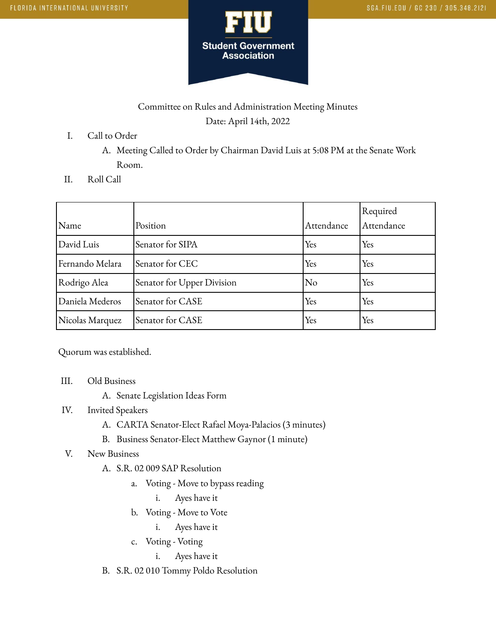

## Committee on Rules and Administration Meeting Minutes Date: April 14th, 2022

I. Call to Order

A. Meeting Called to Order by Chairman David Luis at 5:08 PM at the Senate Work Room.

II. Roll Call

| Name            | Position                   | Attendance | Required<br>Attendance |
|-----------------|----------------------------|------------|------------------------|
| David Luis      | Senator for SIPA           | Yes        | Yes                    |
| Fernando Melara | Senator for CEC            | Yes        | Yes                    |
| Rodrigo Alea    | Senator for Upper Division | No         | Yes                    |
| Daniela Mederos | Senator for CASE           | Yes        | Yes                    |
| Nicolas Marquez | Senator for CASE           | Yes        | Yes                    |

Quorum was established.

- III. Old Business
	- A. Senate Legislation Ideas Form
- IV. Invited Speakers
	- A. CARTA Senator-Elect Rafael Moya-Palacios (3 minutes)
	- B. Business Senator-Elect Matthew Gaynor (1 minute)
- V. New Business
	- A. S.R. 02 009 SAP Resolution
		- a. Voting Move to bypass reading
			- i. Ayes have it
		- b. Voting Move to Vote
			- i. Ayes have it
		- c. Voting Voting
			- i. Ayes have it
	- B. S.R. 02 010 Tommy Poldo Resolution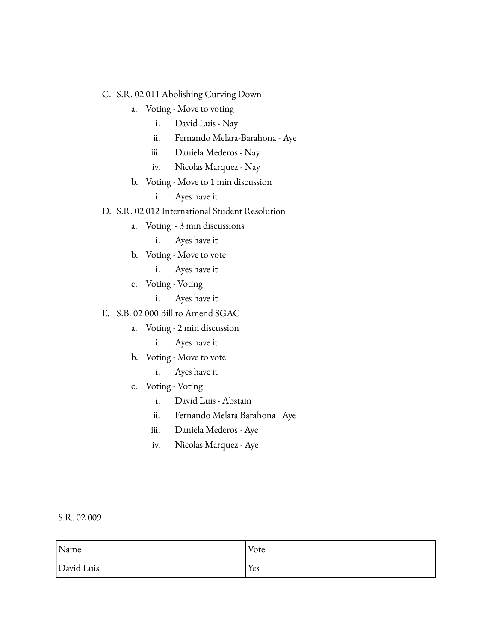#### C. S.R. 02 011 Abolishing Curving Down

- a. Voting Move to voting
	- i. David Luis Nay
	- ii. Fernando Melara-Barahona Aye
	- iii. Daniela Mederos Nay
	- iv. Nicolas Marquez Nay
- b. Voting Move to 1 min discussion
	- i. Ayes have it

D. S.R. 02 012 International Student Resolution

- a. Voting 3 min discussions
	- i. Ayes have it
- b. Voting Move to vote
	- i. Ayes have it
- c. Voting Voting
	- i. Ayes have it
- E. S.B. 02 000 Bill to Amend SGAC
	- a. Voting 2 min discussion
		- i. Ayes have it
	- b. Voting Move to vote
		- i. Ayes have it
	- c. Voting Voting
		- i. David Luis Abstain
		- ii. Fernando Melara Barahona Aye
		- iii. Daniela Mederos Aye
		- iv. Nicolas Marquez Aye

### S.R. 02 009

| Name       | Vote |
|------------|------|
| David Luis | Yes  |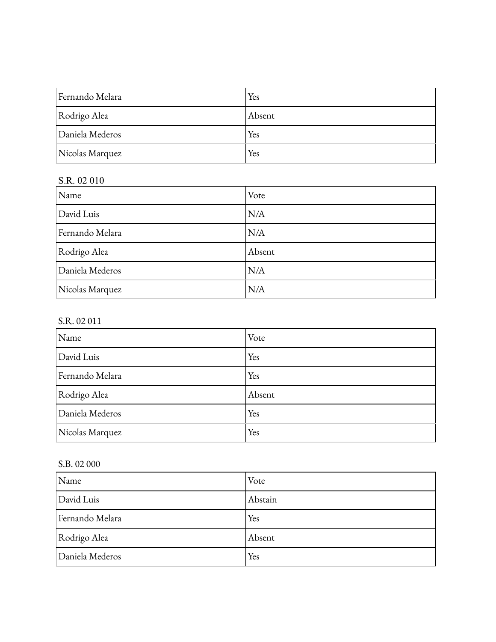| Fernando Melara | Yes    |
|-----------------|--------|
| Rodrigo Alea    | Absent |
| Daniela Mederos | Yes    |
| Nicolas Marquez | Yes    |

# S.R. 02 010

| Name            | Vote   |
|-----------------|--------|
| David Luis      | N/A    |
| Fernando Melara | N/A    |
| Rodrigo Alea    | Absent |
| Daniela Mederos | N/A    |
| Nicolas Marquez | N/A    |

### S.R. 02 011

| Name            | Vote   |
|-----------------|--------|
| David Luis      | Yes    |
| Fernando Melara | Yes    |
| Rodrigo Alea    | Absent |
| Daniela Mederos | Yes    |
| Nicolas Marquez | Yes    |

### S.B. 02 000

| Name            | Vote    |
|-----------------|---------|
| David Luis      | Abstain |
| Fernando Melara | Yes     |
| Rodrigo Alea    | Absent  |
| Daniela Mederos | Yes     |